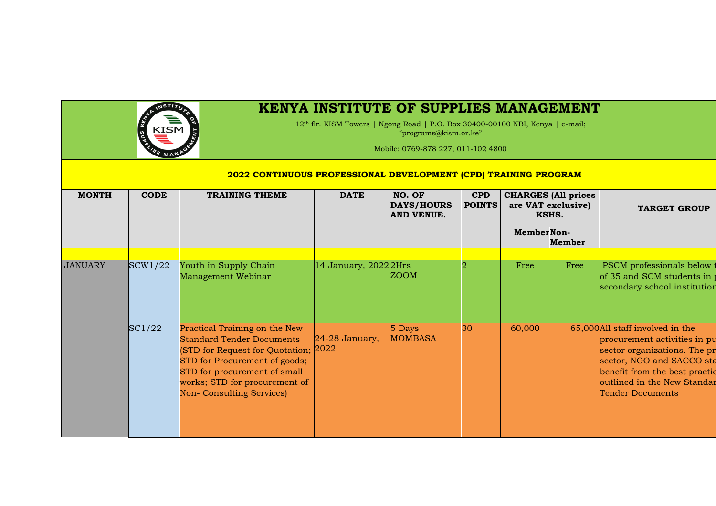

## **KENYA INSTITUTE OF SUPPLIES MANAGEMENT**

12th flr. KISM Towers | Ngong Road | P.O. Box 30400-00100 NBI, Kenya | e-mail; "programs@kism.or.ke"

Mobile: 0769-878 227; 011-102 4800

## **2022 CONTINUOUS PROFESSIONAL DEVELOPMENT (CPD) TRAINING PROGRAM**

| <b>MONTH</b>   | <b>CODE</b> | <b>TRAINING THEME</b>                                                                                                                                                                                                                     | <b>DATE</b>           | NO. OF<br><b>DAYS/HOURS</b><br><b>AND VENUE.</b> | <b>CPD</b><br><b>POINTS</b> |            | <b>CHARGES</b> (All prices<br>are VAT exclusive)<br>KSHS. | <b>TARGET GROUP</b>                                                                                                                                                                                                      |
|----------------|-------------|-------------------------------------------------------------------------------------------------------------------------------------------------------------------------------------------------------------------------------------------|-----------------------|--------------------------------------------------|-----------------------------|------------|-----------------------------------------------------------|--------------------------------------------------------------------------------------------------------------------------------------------------------------------------------------------------------------------------|
|                |             |                                                                                                                                                                                                                                           |                       |                                                  |                             | MemberNon- | Member                                                    |                                                                                                                                                                                                                          |
| <b>JANUARY</b> | SCW1/22     | Youth in Supply Chain<br>Management Webinar                                                                                                                                                                                               | 14 January, 2022 2Hrs | <b>ZOOM</b>                                      |                             | Free       | Free                                                      | PSCM professionals below<br>of 35 and SCM students in<br>secondary school institution                                                                                                                                    |
|                | SC1/22      | Practical Training on the New<br><b>Standard Tender Documents</b><br>(STD for Request for Quotation; 2022)<br>STD for Procurement of goods;<br>STD for procurement of small<br>works; STD for procurement of<br>Non- Consulting Services) | 24-28 January,        | 5 Days<br><b>MOMBASA</b>                         | $ 30\rangle$                | 60,000     |                                                           | 65,000 All staff involved in the<br>procurement activities in pu<br>sector organizations. The pr<br>sector, NGO and SACCO sta<br>benefit from the best practic<br>outlined in the New Standar<br><b>Tender Documents</b> |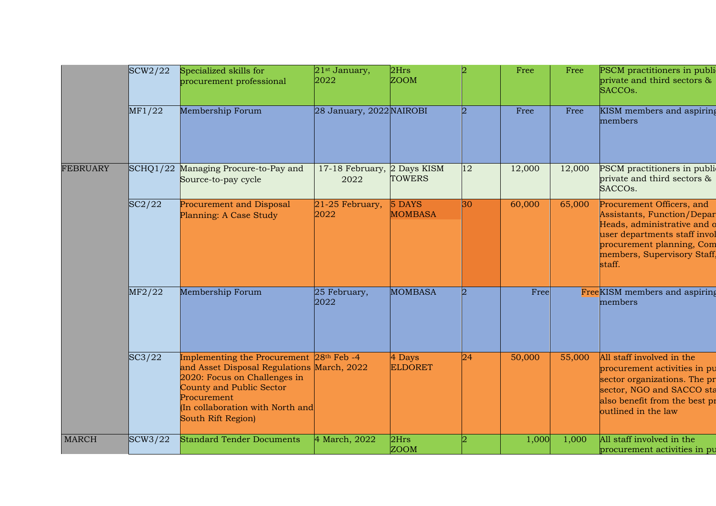|                 | SCW2/22           | Specialized skills for<br>procurement professional                                                                                                                                                                                      | $21st$ January,<br>2022   | 2Hrs<br><b>ZOOM</b>              |                             | Free   | Free   | PSCM practitioners in publi<br>private and third sectors &<br>SACCO <sub>s</sub> .                                                                                                           |
|-----------------|-------------------|-----------------------------------------------------------------------------------------------------------------------------------------------------------------------------------------------------------------------------------------|---------------------------|----------------------------------|-----------------------------|--------|--------|----------------------------------------------------------------------------------------------------------------------------------------------------------------------------------------------|
|                 | MF1/22            | Membership Forum                                                                                                                                                                                                                        | 28 January, 2022 NAIROBI  |                                  | $\mathcal{D}_{\mathcal{L}}$ | Free   | Free   | KISM members and aspiring<br>members                                                                                                                                                         |
| <b>FEBRUARY</b> | $\text{SCHQ1}/22$ | Managing Procure-to-Pay and<br>Source-to-pay cycle                                                                                                                                                                                      | 17-18 February,<br>2022   | 2 Days KISM<br><b>TOWERS</b>     | 12                          | 12,000 | 12,000 | PSCM practitioners in publi-<br>private and third sectors &<br>SACCOs.                                                                                                                       |
|                 | SC2/22            | Procurement and Disposal<br>Planning: A Case Study                                                                                                                                                                                      | $21-25$ February,<br>2022 | 5 DAYS<br><b>MOMBASA</b>         | 30                          | 60,000 | 65,000 | Procurement Officers, and<br>Assistants, Function/Depar<br>Heads, administrative and o<br>user departments staff invol<br>procurement planning, Com<br>members, Supervisory Staff,<br>staff. |
|                 | MF2/22            | Membership Forum                                                                                                                                                                                                                        | 25 February,<br>2022      | <b>MOMBASA</b>                   | $\overline{2}$              | Free   |        | FreeKISM members and aspiring<br>members                                                                                                                                                     |
|                 | SC3/22            | Implementing the Procurement 28 <sup>th</sup> Feb -4<br>and Asset Disposal Regulations March, 2022<br>2020: Focus on Challenges in<br>County and Public Sector<br>Procurement<br>(In collaboration with North and<br>South Rift Region) |                           | $\vert 4$ Days<br><b>ELDORET</b> | 24                          | 50,000 | 55,000 | All staff involved in the<br>procurement activities in pu<br>sector organizations. The pr<br>sector, NGO and SACCO sta<br>also benefit from the best pr<br>outlined in the law               |
| <b>MARCH</b>    | SCW3/22           | <b>Standard Tender Documents</b>                                                                                                                                                                                                        | 4 March, 2022             | 2Hrs<br><b>ZOOM</b>              |                             | 1,000  | 1,000  | All staff involved in the<br>procurement activities in pu                                                                                                                                    |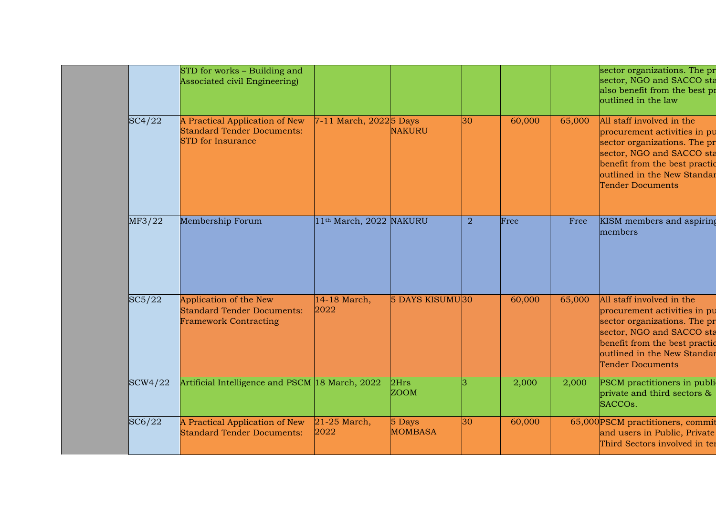|         | STD for works - Building and<br>Associated civil Engineering)                                   |                                     |                          |                |        |        | sector organizations. The pr<br>sector, NGO and SACCO sta<br>also benefit from the best pr<br>outlined in the law                                                                                                 |
|---------|-------------------------------------------------------------------------------------------------|-------------------------------------|--------------------------|----------------|--------|--------|-------------------------------------------------------------------------------------------------------------------------------------------------------------------------------------------------------------------|
| SC4/22  | A Practical Application of New<br><b>Standard Tender Documents:</b><br><b>STD</b> for Insurance | 7-11 March, 2022 <sup>5</sup> Days  | <b>NAKURU</b>            | 30             | 60,000 | 65,000 | All staff involved in the<br>procurement activities in pu<br>sector organizations. The pr<br>sector, NGO and SACCO sta<br>benefit from the best practic<br>outlined in the New Standar<br><b>Tender Documents</b> |
| MF3/22  | Membership Forum                                                                                | 11 <sup>th</sup> March, 2022 NAKURU |                          | $\overline{2}$ | Free   | Free   | KISM members and aspiring<br>members                                                                                                                                                                              |
| SC5/22  | Application of the New<br><b>Standard Tender Documents:</b><br><b>Framework Contracting</b>     | 14-18 March,<br>2022                | 5 DAYS KISUMU30          |                | 60,000 | 65,000 | All staff involved in the<br>procurement activities in pu<br>sector organizations. The pr<br>sector, NGO and SACCO sta<br>benefit from the best practic<br>outlined in the New Standar<br><b>Tender Documents</b> |
| SCW4/22 | Artificial Intelligence and PSCM 18 March, 2022                                                 |                                     | 2Hrs<br><b>ZOOM</b>      |                | 2,000  | 2,000  | PSCM practitioners in publi<br>private and third sectors &<br>SACCO <sub>s</sub> .                                                                                                                                |
| SC6/22  | A Practical Application of New<br><b>Standard Tender Documents:</b>                             | $21-25$ March,<br>2022              | 5 Days<br><b>MOMBASA</b> | 30             | 60,000 |        | 65,000 PSCM practitioners, commit<br>and users in Public, Private<br>Third Sectors involved in ter                                                                                                                |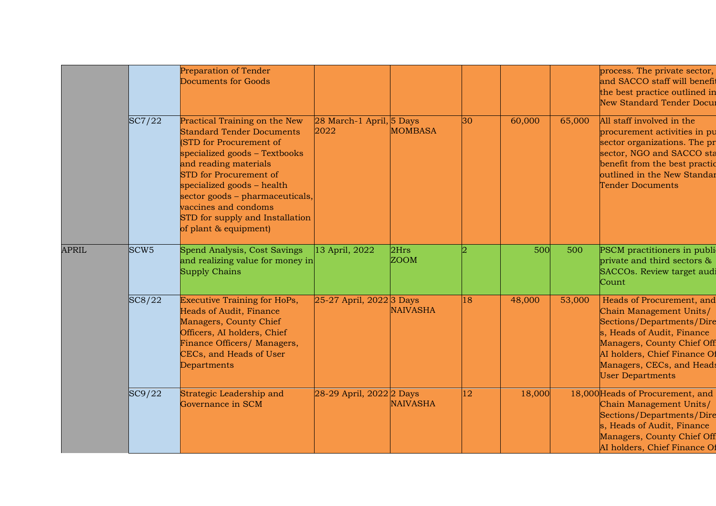|              |                  | Preparation of Tender<br>Documents for Goods                                                                                                                                                                                                                                                                                          |                                  |                     |    |        |        | process. The private sector,<br>and SACCO staff will benefit<br>the best practice outlined in<br>New Standard Tender Docur                                                                                                            |
|--------------|------------------|---------------------------------------------------------------------------------------------------------------------------------------------------------------------------------------------------------------------------------------------------------------------------------------------------------------------------------------|----------------------------------|---------------------|----|--------|--------|---------------------------------------------------------------------------------------------------------------------------------------------------------------------------------------------------------------------------------------|
|              | SC7/22           | Practical Training on the New<br><b>Standard Tender Documents</b><br>(STD for Procurement of<br>specialized goods - Textbooks<br>and reading materials<br>STD for Procurement of<br>specialized goods - health<br>sector goods - pharmaceuticals,<br>vaccines and condoms<br>STD for supply and Installation<br>of plant & equipment) | 28 March-1 April, 5 Days<br>2022 | <b>MOMBASA</b>      | 30 | 60,000 | 65,000 | All staff involved in the<br>procurement activities in pu<br>sector organizations. The pr<br>sector, NGO and SACCO sta<br>benefit from the best practic<br>outlined in the New Standar<br>Tender Documents                            |
| <b>APRIL</b> | SCW <sub>5</sub> | Spend Analysis, Cost Savings<br>and realizing value for money in<br>Supply Chains                                                                                                                                                                                                                                                     | 13 April, 2022                   | 2Hrs<br><b>ZOOM</b> |    | 500    | 500    | PSCM practitioners in publi-<br>private and third sectors $\&$<br>SACCOs. Review target audi<br>Count                                                                                                                                 |
|              | SC8/22           | Executive Training for HoPs,<br>Heads of Audit, Finance<br>Managers, County Chief<br>Officers, AI holders, Chief<br>Finance Officers/ Managers,<br>CECs, and Heads of User<br>Departments                                                                                                                                             | $25-27$ April, $2022$ 3 Days     | <b>NAIVASHA</b>     | 18 | 48,000 | 53,000 | Heads of Procurement, and<br>Chain Management Units/<br>Sections/Departments/Dire<br>s, Heads of Audit, Finance<br>Managers, County Chief Off<br>AI holders, Chief Finance Of<br>Managers, CECs, and Heads<br><b>User Departments</b> |
|              | SC9/22           | Strategic Leadership and<br>Governance in SCM                                                                                                                                                                                                                                                                                         | 28-29 April, 2022 2 Days         | <b>NAIVASHA</b>     | 12 | 18,000 |        | 18,000 Heads of Procurement, and<br>Chain Management Units/<br>Sections/Departments/Dire<br>s, Heads of Audit, Finance<br>Managers, County Chief Off<br>AI holders, Chief Finance Of                                                  |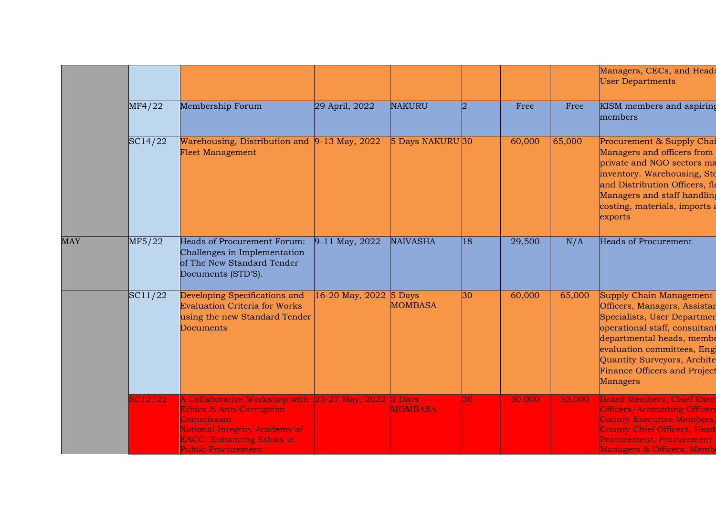|            |         |                                                                                                                                                                                                             |                        |                  |    |        |        | Managers, CECs, and Heads<br><b>User Departments</b>                                                                                                                                                                                                                  |
|------------|---------|-------------------------------------------------------------------------------------------------------------------------------------------------------------------------------------------------------------|------------------------|------------------|----|--------|--------|-----------------------------------------------------------------------------------------------------------------------------------------------------------------------------------------------------------------------------------------------------------------------|
|            | MF4/22  | Membership Forum                                                                                                                                                                                            | 29 April, 2022         | <b>NAKURU</b>    |    | Free   | Free   | KISM members and aspiring<br>members                                                                                                                                                                                                                                  |
|            | SC14/22 | Warehousing, Distribution and 9-13 May, 2022<br><b>Fleet Management</b>                                                                                                                                     |                        | 5 Days NAKURU 30 |    | 60,000 | 65,000 | Procurement & Supply Chai<br>Managers and officers from<br>private and NGO sectors ma<br>inventory. Warehousing, Sto<br>and Distribution Officers, fle<br>Managers and staff handling<br>costing, materials, imports a<br>exports                                     |
| <b>MAY</b> | MF5/22  | Heads of Procurement Forum:<br>Challenges in Implementation<br>of The New Standard Tender<br>Documents (STD'S).                                                                                             | 9-11 May, 2022         | <b>NAIVASHA</b>  | 18 | 29,500 | N/A    | <b>Heads of Procurement</b>                                                                                                                                                                                                                                           |
|            | SC11/22 | Developing Specifications and<br><b>Evaluation Criteria for Works</b><br>using the new Standard Tender<br>Documents                                                                                         | 16-20 May, 2022 5 Days | <b>MOMBASA</b>   | 30 | 60,000 | 65,000 | Supply Chain Management<br>Officers, Managers, Assistar<br>Specialists, User Departmen<br>operational staff, consultant<br>departmental heads, membe<br>evaluation committees, Engi<br>Quantity Surveyors, Archite<br><b>Finance Officers and Project</b><br>Managers |
|            | SC12/22 | A Collaborative Workshop with 23-27 May, 2022 5 Days<br><b>Ethics &amp; Anti-Corruption</b><br>Commission<br>National Integrity Academy of<br><b>EACC: Enhancing Ethics in</b><br><b>Public Procurement</b> |                        | <b>MOMBASA</b>   | 30 | 50,000 | 55,000 | <b>Board Members, Chief Exec</b><br><b>Officers/Accounting Officers</b><br><b>County Executive Members,</b><br><b>County Chief Officers, Head</b><br>Procurement, Procurement<br>Managers & Officers; Memb                                                            |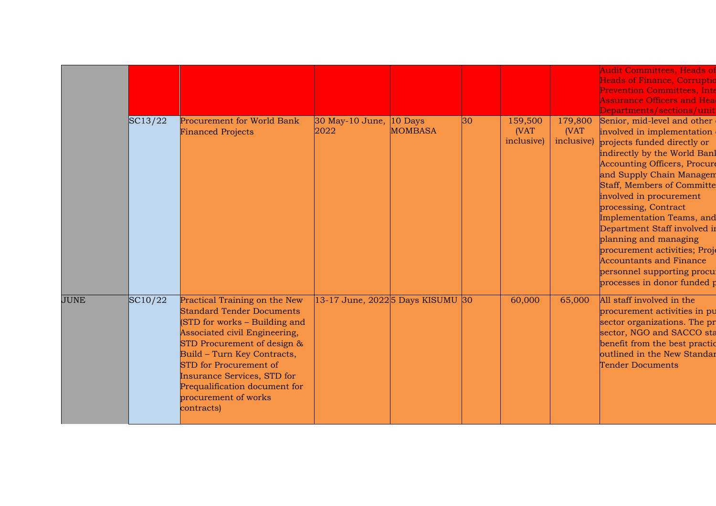|      | SC13/22 | Procurement for World Bank<br><b>Financed Projects</b>                                                                                                                                                                                                                                                                            | 30 May-10 June,<br>2022                      | $10$ Days<br><b>MOMBASA</b> | 30 | 159,500<br>(VAT<br>inclusive) | 179,800<br>(VAT<br>inclusive) | <b>Audit Committees, Heads of</b><br><b>Heads of Finance, Corruptio</b><br><b>Prevention Committees, Inte</b><br><b>Assurance Officers and Head</b><br>Departments/sections/unit<br>Senior, mid-level and other<br>involved in implementation<br>projects funded directly or<br>indirectly by the World Banl<br><b>Accounting Officers, Procure</b><br>and Supply Chain Managem<br><b>Staff, Members of Committe</b><br>involved in procurement<br>processing, Contract<br>Implementation Teams, and<br>Department Staff involved in<br>planning and managing<br>procurement activities; Proje<br><b>Accountants and Finance</b><br>personnel supporting procu |
|------|---------|-----------------------------------------------------------------------------------------------------------------------------------------------------------------------------------------------------------------------------------------------------------------------------------------------------------------------------------|----------------------------------------------|-----------------------------|----|-------------------------------|-------------------------------|----------------------------------------------------------------------------------------------------------------------------------------------------------------------------------------------------------------------------------------------------------------------------------------------------------------------------------------------------------------------------------------------------------------------------------------------------------------------------------------------------------------------------------------------------------------------------------------------------------------------------------------------------------------|
| JUNE | SC10/22 | Practical Training on the New<br><b>Standard Tender Documents</b><br>(STD for works - Building and<br>Associated civil Engineering,<br>STD Procurement of design &<br>Build - Turn Key Contracts,<br>STD for Procurement of<br>Insurance Services, STD for<br>Prequalification document for<br>procurement of works<br>contracts) | 13-17 June, 2022 <sup>5</sup> Days KISUMU 30 |                             |    | 60,000                        | 65,000                        | processes in donor funded p<br>All staff involved in the<br>procurement activities in pu<br>sector organizations. The pr<br>sector, NGO and SACCO sta<br>benefit from the best practic<br>outlined in the New Standar<br><b>Tender Documents</b>                                                                                                                                                                                                                                                                                                                                                                                                               |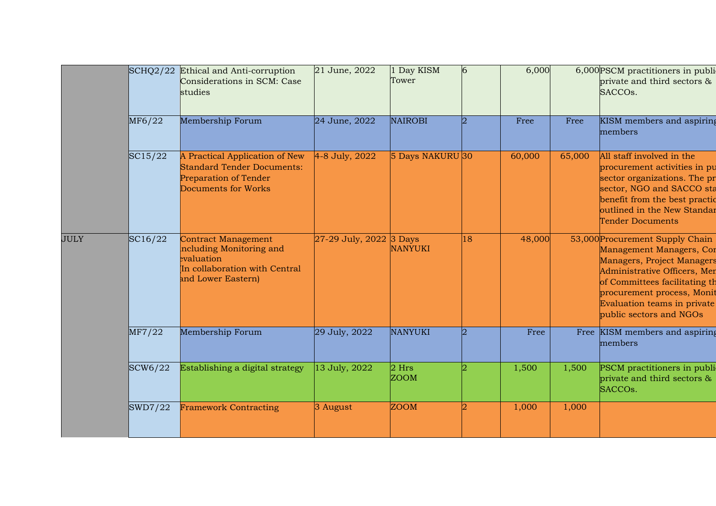|             | $\text{SCHQ}2/22$ | Ethical and Anti-corruption<br>Considerations in SCM: Case<br>studies                                                       | 21 June, 2022           | Day KISM<br>Tower      | $\overline{6}$ | 6,000  |        | 6,000PSCM practitioners in publi-<br>private and third sectors &<br>SACCOs.                                                                                                                                                                        |
|-------------|-------------------|-----------------------------------------------------------------------------------------------------------------------------|-------------------------|------------------------|----------------|--------|--------|----------------------------------------------------------------------------------------------------------------------------------------------------------------------------------------------------------------------------------------------------|
|             | MF6/22            | Membership Forum                                                                                                            | 24 June, 2022           | <b>NAIROBI</b>         | $\overline{2}$ | Free   | Free   | KISM members and aspiring<br>members                                                                                                                                                                                                               |
|             | SC15/22           | A Practical Application of New<br><b>Standard Tender Documents:</b><br><b>Preparation of Tender</b><br>Documents for Works  | 4-8 July, 2022          | 5 Days NAKURU 30       |                | 60,000 | 65,000 | All staff involved in the<br>procurement activities in pu<br>sector organizations. The pr<br>sector, NGO and SACCO sta<br>benefit from the best practic<br>outlined in the New Standar<br><b>Tender Documents</b>                                  |
| <b>JULY</b> | SC16/22           | <b>Contract Management</b><br>including Monitoring and<br>evaluation<br>In collaboration with Central<br>and Lower Eastern) | 27-29 July, 2022 3 Days | <b>NANYUKI</b>         | 18             | 48,000 |        | 53,000 Procurement Supply Chain<br>Management Managers, Cor<br>Managers, Project Managers<br>Administrative Officers, Men<br>of Committees facilitating th<br>procurement process, Monit<br>Evaluation teams in private<br>public sectors and NGOs |
|             | MF7/22            | Membership Forum                                                                                                            | 29 July, 2022           | <b>NANYUKI</b>         | $\overline{2}$ | Free   |        | Free KISM members and aspiring<br>members                                                                                                                                                                                                          |
|             | SCW6/22           | Establishing a digital strategy                                                                                             | 13 July, 2022           | $2$ Hrs<br><b>ZOOM</b> |                | 1,500  | 1,500  | PSCM practitioners in publi<br>private and third sectors &<br>SACCOs.                                                                                                                                                                              |
|             | SWD7/22           | <b>Framework Contracting</b>                                                                                                | 3 August                | <b>ZOOM</b>            |                | 1,000  | 1,000  |                                                                                                                                                                                                                                                    |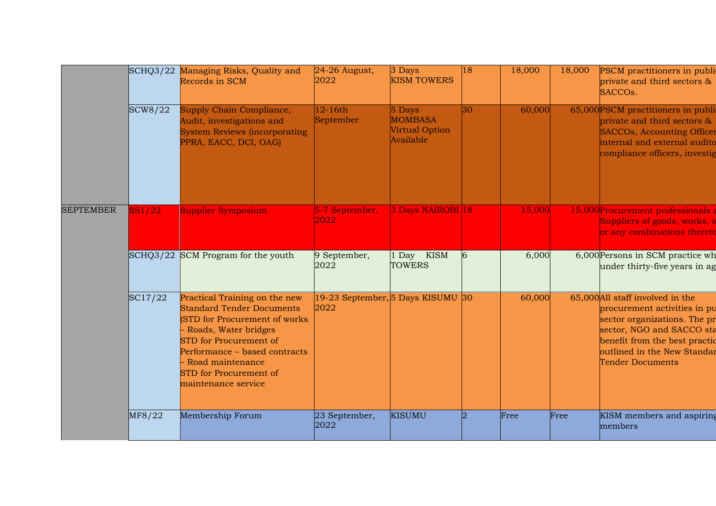|                  |         | SCHQ3/22 Managing Risks, Quality and<br>Records in SCM                                                                                                                                                                                                                      | $24-26$ August,<br>2022                   | 3 Days<br><b>KISM TOWERS</b>                              | 18                    | 18,000 | 18,000 | PSCM practitioners in publi<br>private and third sectors &<br>SACCOs.                                                                                                                                                    |
|------------------|---------|-----------------------------------------------------------------------------------------------------------------------------------------------------------------------------------------------------------------------------------------------------------------------------|-------------------------------------------|-----------------------------------------------------------|-----------------------|--------|--------|--------------------------------------------------------------------------------------------------------------------------------------------------------------------------------------------------------------------------|
|                  | SCW8/22 | Supply Chain Compliance,<br>Audit, investigations and<br><b>System Reviews (incorporating</b><br>PPRA, EACC, DCI, OAG)                                                                                                                                                      | $12-16th$<br>September                    | $5$ Days<br><b>MOMBASA</b><br>Virtual Option<br>Available | 30                    | 60,000 |        | 65,000 PSCM practitioners in publi-<br>private and third sectors &<br><b>SACCOs, Accounting Officer</b><br>internal and external audito<br>compliance officers, investig                                                 |
| <b>SEPTEMBER</b> | SS1/22  | Supplier Symposium                                                                                                                                                                                                                                                          | 5-7 September,<br>2022                    | 3 Days NAIROBI 18                                         |                       | 15,000 |        | 15,000 Procurement professionals a<br>Suppliers of goods, works, s<br>or any combinations thereto                                                                                                                        |
|                  |         | SCHQ3/22 SCM Program for the youth                                                                                                                                                                                                                                          | 9 September,<br>2022                      | 1 Day KISM<br><b>TOWERS</b>                               | $\overline{6}$        | 6,000  |        | 6,000 Persons in SCM practice wh<br>under thirty-five years in ag                                                                                                                                                        |
|                  | SC17/22 | Practical Training on the new<br><b>Standard Tender Documents</b><br>(STD for Procurement of works)<br>- Roads, Water bridges<br><b>STD</b> for Procurement of<br>Performance - based contracts<br>Road maintenance<br><b>STD</b> for Procurement of<br>maintenance service | 19-23 September, 5 Days KISUMU 30<br>2022 |                                                           |                       | 60,000 |        | 65,000 All staff involved in the<br>procurement activities in pu<br>sector organizations. The pr<br>sector, NGO and SACCO sta<br>benefit from the best practic<br>outlined in the New Standar<br><b>Tender Documents</b> |
|                  | MF8/22  | Membership Forum                                                                                                                                                                                                                                                            | 23 September,<br>2022                     | <b>KISUMU</b>                                             | $\mathcal{D}_{\cdot}$ | Free   | Free   | KISM members and aspiring<br>members                                                                                                                                                                                     |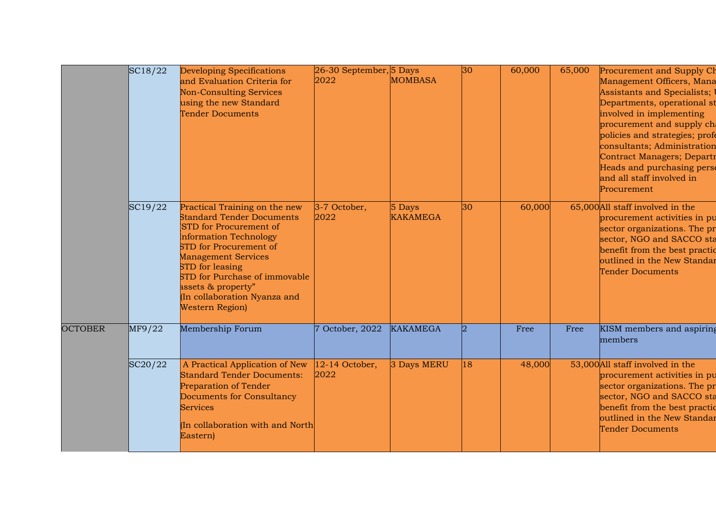|                | SC18/22 | Developing Specifications                                                                                                                                                                                                                                                                                                        | 26-30 September, 5 Days  |                             | 30        | 60,000 | 65,000 | Procurement and Supply Ch                                                                                                                                                                                                                                                                                                  |
|----------------|---------|----------------------------------------------------------------------------------------------------------------------------------------------------------------------------------------------------------------------------------------------------------------------------------------------------------------------------------|--------------------------|-----------------------------|-----------|--------|--------|----------------------------------------------------------------------------------------------------------------------------------------------------------------------------------------------------------------------------------------------------------------------------------------------------------------------------|
|                |         | and Evaluation Criteria for<br><b>Non-Consulting Services</b><br>using the new Standard<br><b>Tender Documents</b>                                                                                                                                                                                                               | 2022                     | <b>MOMBASA</b>              |           |        |        | Management Officers, Mana<br>Assistants and Specialists;<br>Departments, operational st<br>involved in implementing<br>procurement and supply cha<br>policies and strategies; profe<br>consultants; Administration<br>Contract Managers; Departr<br>Heads and purchasing perse<br>and all staff involved in<br>Procurement |
|                | SC19/22 | Practical Training on the new<br><b>Standard Tender Documents</b><br><b>STD</b> for Procurement of<br>Information Technology<br><b>STD</b> for Procurement of<br><b>Management Services</b><br>STD for leasing<br>STD for Purchase of immovable<br>assets & property"<br>(In collaboration Nyanza and<br><b>Western Region</b> ) | 3-7 October,<br>2022     | $5$ Days<br><b>KAKAMEGA</b> | 30        | 60,000 |        | 65,000 All staff involved in the<br>procurement activities in pu<br>sector organizations. The pr<br>sector, NGO and SACCO sta<br>benefit from the best practic<br>outlined in the New Standar<br><b>Tender Documents</b>                                                                                                   |
| <b>OCTOBER</b> | MF9/22  | Membership Forum                                                                                                                                                                                                                                                                                                                 | October, 2022            | <b>KAKAMEGA</b>             | $\vert$ 2 | Free   | Free   | KISM members and aspiring<br>members                                                                                                                                                                                                                                                                                       |
|                | SC20/22 | A Practical Application of New<br><b>Standard Tender Documents:</b><br><b>Preparation of Tender</b><br>Documents for Consultancy<br><b>Services</b><br>(In collaboration with and North<br>Eastern)                                                                                                                              | $12-14$ October,<br>2022 | 3 Days MERU                 | 18        | 48,000 |        | 53,000 All staff involved in the<br>procurement activities in pu<br>sector organizations. The pr<br>sector, NGO and SACCO sta<br>benefit from the best practic<br>outlined in the New Standar<br><b>Tender Documents</b>                                                                                                   |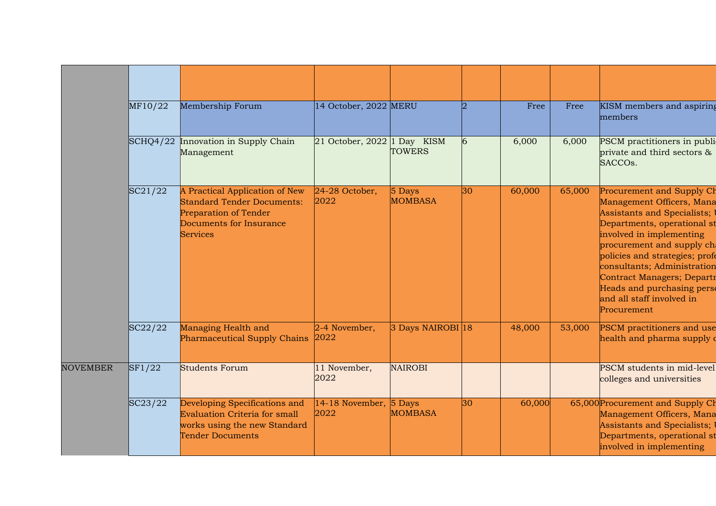|                 | MF10/22 | Membership Forum                                                                                                                                  | 14 October, 2022 MERU          |                          |    | Free   | Free   | KISM members and aspiring<br>members                                                                                                                                                                                                                                                                                                                    |
|-----------------|---------|---------------------------------------------------------------------------------------------------------------------------------------------------|--------------------------------|--------------------------|----|--------|--------|---------------------------------------------------------------------------------------------------------------------------------------------------------------------------------------------------------------------------------------------------------------------------------------------------------------------------------------------------------|
|                 |         | SCHQ4/22 Innovation in Supply Chain<br>Management                                                                                                 | 21 October, 2022 1 Day KISM    | <b>TOWERS</b>            | 6  | 6,000  | 6,000  | PSCM practitioners in publi-<br>private and third sectors &<br>SACCO <sub>s</sub> .                                                                                                                                                                                                                                                                     |
|                 | SC21/22 | A Practical Application of New<br><b>Standard Tender Documents:</b><br><b>Preparation of Tender</b><br>Documents for Insurance<br><b>Services</b> | $24-28$ October,<br>2022       | 5 Days<br><b>MOMBASA</b> | 30 | 60,000 | 65,000 | Procurement and Supply Ch<br>Management Officers, Mana<br>Assistants and Specialists;<br>Departments, operational st<br>involved in implementing<br>procurement and supply cha<br>policies and strategies; profe<br>consultants; Administration<br>Contract Managers; Departr<br>Heads and purchasing perse<br>and all staff involved in<br>Procurement |
|                 | SC22/22 | Managing Health and<br>Pharmaceutical Supply Chains                                                                                               | $2-4$ November,<br>2022        | 3 Days NAIROBI 18        |    | 48,000 | 53,000 | <b>PSCM</b> practitioners and use<br>health and pharma supply o                                                                                                                                                                                                                                                                                         |
| <b>NOVEMBER</b> | SF1/22  | <b>Students Forum</b>                                                                                                                             | 11 November,<br>2022           | <b>NAIROBI</b>           |    |        |        | PSCM students in mid-level<br>colleges and universities                                                                                                                                                                                                                                                                                                 |
|                 | SC23/22 | Developing Specifications and<br>Evaluation Criteria for small<br>works using the new Standard<br>Tender Documents                                | 14-18 November, 5 Days<br>2022 | <b>MOMBASA</b>           | 30 | 60,000 |        | 65,000 Procurement and Supply Ch<br>Management Officers, Mana<br>Assistants and Specialists;<br>Departments, operational st<br>involved in implementing                                                                                                                                                                                                 |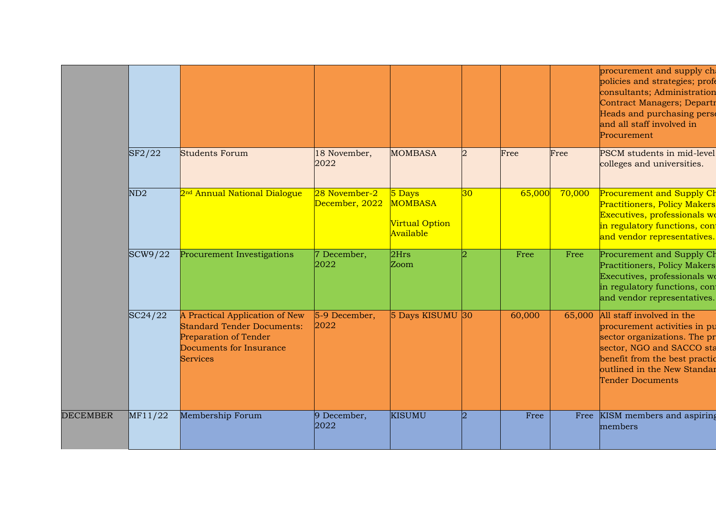|                 |         |                                                                                                                                            |                                 |                                                         |                 |        |        | procurement and supply ch<br>policies and strategies; profe<br>consultants; Administration<br>Contract Managers; Departr<br>Heads and purchasing perso<br>and all staff involved in<br>Procurement                |
|-----------------|---------|--------------------------------------------------------------------------------------------------------------------------------------------|---------------------------------|---------------------------------------------------------|-----------------|--------|--------|-------------------------------------------------------------------------------------------------------------------------------------------------------------------------------------------------------------------|
|                 | SF2/22  | <b>Students Forum</b>                                                                                                                      | 18 November,<br>2022            | <b>MOMBASA</b>                                          | $\overline{2}$  | Free   | Free   | PSCM students in mid-level<br>colleges and universities.                                                                                                                                                          |
|                 | ND2     | 2 <sup>nd</sup> Annual National Dialogue                                                                                                   | 28 November-2<br>December, 2022 | 5 Days<br><b>MOMBASA</b><br>Virtual Option<br>Available | 30 <sup>°</sup> | 65,000 | 70,000 | Procurement and Supply Ch<br><b>Practitioners, Policy Makers</b><br>Executives, professionals wo<br>in regulatory functions, cont<br>and vendor representatives.                                                  |
|                 | SCW9/22 | Procurement Investigations                                                                                                                 | 7 December,<br>2022             | 2Hrs<br>Zoom                                            |                 | Free   | Free   | Procurement and Supply Ch<br>Practitioners, Policy Makers<br>Executives, professionals wo<br>in regulatory functions, con<br>and vendor representatives.                                                          |
|                 | SC24/22 | A Practical Application of New<br><b>Standard Tender Documents:</b><br>Preparation of Tender<br>Documents for Insurance<br><b>Services</b> | 5-9 December,<br>2022           | 5 Days KISUMU 30                                        |                 | 60,000 | 65,000 | All staff involved in the<br>procurement activities in pu<br>sector organizations. The pr<br>sector, NGO and SACCO sta<br>benefit from the best practic<br>outlined in the New Standar<br><b>Tender Documents</b> |
| <b>DECEMBER</b> | MF11/22 | Membership Forum                                                                                                                           | 9 December,<br>2022             | <b>KISUMU</b>                                           | 12              | Free   | Free   | KISM members and aspiring<br>members                                                                                                                                                                              |